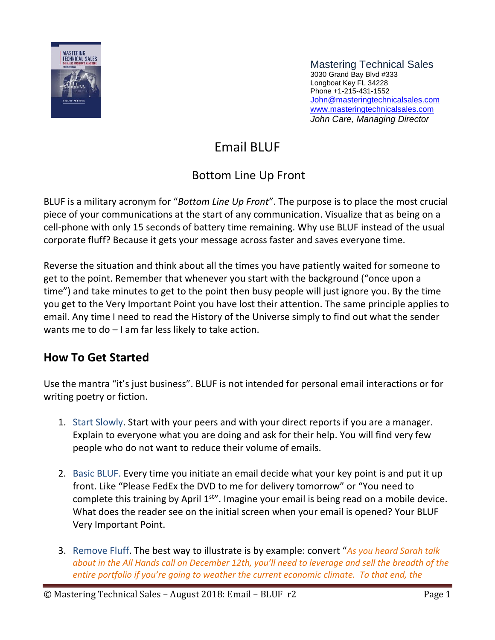

Mastering Technical Sales 3030 Grand Bay Blvd #333 Longboat Key FL 34228 Phone +1-215-431-1552 [John@masteringtechnicalsales.com](mailto:john@masteringtechnicalsales.com) [www.masteringtechnicalsales.com](http://www.masteringtechnicalsales.com/) *John Care, Managing Director*

# Email BLUF

## Bottom Line Up Front

BLUF is a military acronym for "*Bottom Line Up Front*". The purpose is to place the most crucial piece of your communications at the start of any communication. Visualize that as being on a cell-phone with only 15 seconds of battery time remaining. Why use BLUF instead of the usual corporate fluff? Because it gets your message across faster and saves everyone time.

Reverse the situation and think about all the times you have patiently waited for someone to get to the point. Remember that whenever you start with the background ("once upon a time") and take minutes to get to the point then busy people will just ignore you. By the time you get to the Very Important Point you have lost their attention. The same principle applies to email. Any time I need to read the History of the Universe simply to find out what the sender wants me to do – I am far less likely to take action.

### **How To Get Started**

Use the mantra "it's just business". BLUF is not intended for personal email interactions or for writing poetry or fiction.

- 1. Start Slowly. Start with your peers and with your direct reports if you are a manager. Explain to everyone what you are doing and ask for their help. You will find very few people who do not want to reduce their volume of emails.
- 2. Basic BLUF. Every time you initiate an email decide what your key point is and put it up front. Like "Please FedEx the DVD to me for delivery tomorrow" or "You need to complete this training by April  $1<sup>str</sup>$ . Imagine your email is being read on a mobile device. What does the reader see on the initial screen when your email is opened? Your BLUF Very Important Point.
- 3. Remove Fluff. The best way to illustrate is by example: convert "*As you heard Sarah talk about in the All Hands call on December 12th, you'll need to leverage and sell the breadth of the entire portfolio if you're going to weather the current economic climate. To that end, the*